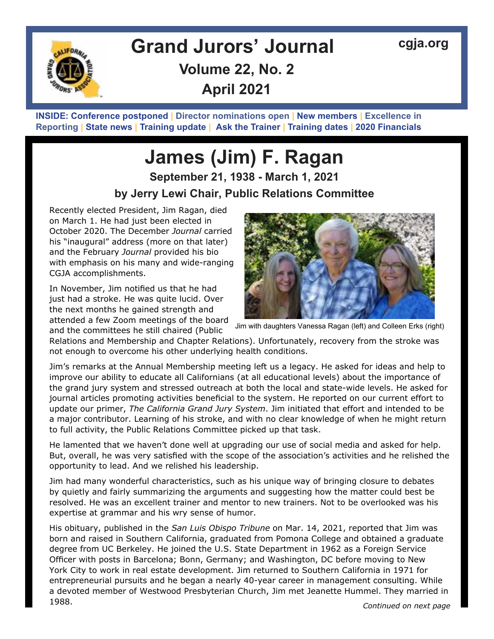

# **Grand Jurors' Journal [cgja.org](http://cgja.org) Volume 22, No. 2 April 2021**

**INSIDE: Conference postponed | [Director nominations ope](#page-2-0)n | [New members](#page-3-0) | [Excellence in](#page-4-0)  Reporting | [State news](#page-5-0) | [Training update](#page-7-0) | [Ask the Trainer](#page-8-0) | [Training dates](#page-9-0) | [2020 Financials](#page-10-0)**

## **James (Jim) F. Ragan September 21, 1938 - March 1, 2021 by Jerry Lewi Chair, Public Relations Committee**

Recently elected President, Jim Ragan, died on March 1. He had just been elected in October 2020. The December *Journal* carried his "inaugural" address (more on that later) and the February *Journal* provided his bio with emphasis on his many and wide-ranging CGJA accomplishments.

In November, Jim notified us that he had just had a stroke. He was quite lucid. Over the next months he gained strength and attended a few Zoom meetings of the board and the committees he still chaired (Public



Jim with daughters Vanessa Ragan (left) and Colleen Erks (right)

Relations and Membership and Chapter Relations). Unfortunately, recovery from the stroke was not enough to overcome his other underlying health conditions.

Jim's remarks at the Annual Membership meeting left us a legacy. He asked for ideas and help to improve our ability to educate all Californians (at all educational levels) about the importance of the grand jury system and stressed outreach at both the local and state-wide levels. He asked for journal articles promoting activities beneficial to the system. He reported on our current effort to update our primer, *The California Grand Jury System*. Jim initiated that effort and intended to be a major contributor. Learning of his stroke, and with no clear knowledge of when he might return to full activity, the Public Relations Committee picked up that task.

He lamented that we haven't done well at upgrading our use of social media and asked for help. But, overall, he was very satisfied with the scope of the association's activities and he relished the opportunity to lead. And we relished his leadership.

Jim had many wonderful characteristics, such as his unique way of bringing closure to debates by quietly and fairly summarizing the arguments and suggesting how the matter could best be resolved. He was an excellent trainer and mentor to new trainers. Not to be overlooked was his expertise at grammar and his wry sense of humor.

His obituary, published in the *San Luis Obispo Tribune* on Mar. 14, 2021, reported that Jim was born and raised in Southern California, graduated from Pomona College and obtained a graduate degree from UC Berkeley. He joined the U.S. State Department in 1962 as a Foreign Service Officer with posts in Barcelona; Bonn, Germany; and Washington, DC before moving to New York City to work in real estate development. Jim returned to Southern California in 1971 for entrepreneurial pursuits and he began a nearly 40-year career in management consulting. While a devoted member of Westwood Presbyterian Church, Jim met Jeanette Hummel. They married in 1988.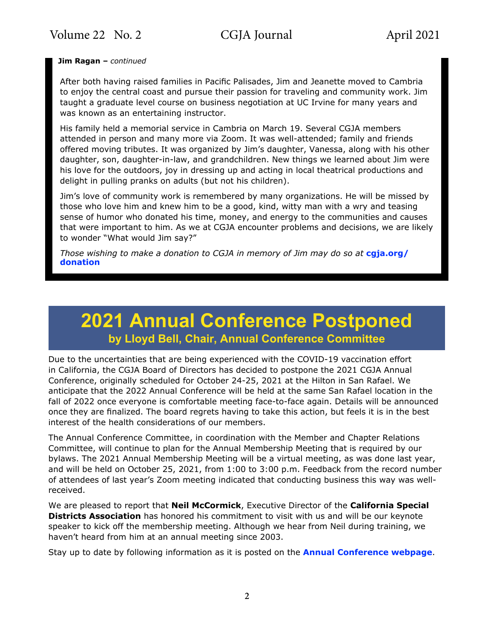**Jim Ragan –** *continued*

After both having raised families in Pacific Palisades, Jim and Jeanette moved to Cambria to enjoy the central coast and pursue their passion for traveling and community work. Jim taught a graduate level course on business negotiation at UC Irvine for many years and was known as an entertaining instructor.

His family held a memorial service in Cambria on March 19. Several CGJA members attended in person and many more via Zoom. It was well-attended; family and friends offered moving tributes. It was organized by Jim's daughter, Vanessa, along with his other daughter, son, daughter-in-law, and grandchildren. New things we learned about Jim were his love for the outdoors, joy in dressing up and acting in local theatrical productions and delight in pulling pranks on adults (but not his children).

Jim's love of community work is remembered by many organizations. He will be missed by those who love him and knew him to be a good, kind, witty man with a wry and teasing sense of humor who donated his time, money, and energy to the communities and causes that were important to him. As we at CGJA encounter problems and decisions, we are likely to wonder "What would Jim say?"

*Those wishing to make a donation to CGJA in memory of Jim may do so at* **[cgja.org/](https://www.cgja.org/donation ) [donation](https://www.cgja.org/donation )**

## **2021 Annual Conference Postponed by Lloyd Bell, Chair, Annual Conference Committee**

Due to the uncertainties that are being experienced with the COVID-19 vaccination effort in California, the CGJA Board of Directors has decided to postpone the 2021 CGJA Annual Conference, originally scheduled for October 24-25, 2021 at the Hilton in San Rafael. We anticipate that the 2022 Annual Conference will be held at the same San Rafael location in the fall of 2022 once everyone is comfortable meeting face-to-face again. Details will be announced once they are finalized. The board regrets having to take this action, but feels it is in the best interest of the health considerations of our members.

The Annual Conference Committee, in coordination with the Member and Chapter Relations Committee, will continue to plan for the Annual Membership Meeting that is required by our bylaws. The 2021 Annual Membership Meeting will be a virtual meeting, as was done last year, and will be held on October 25, 2021, from 1:00 to 3:00 p.m. Feedback from the record number of attendees of last year's Zoom meeting indicated that conducting business this way was wellreceived.

We are pleased to report that **Neil McCormick**, Executive Director of the **California Special Districts Association** has honored his commitment to visit with us and will be our keynote speaker to kick off the membership meeting. Although we hear from Neil during training, we haven't heard from him at an annual meeting since 2003.

Stay up to date by following information as it is posted on the **[Annual Conference webpage](https://www.cgja.org/annual-conference)**.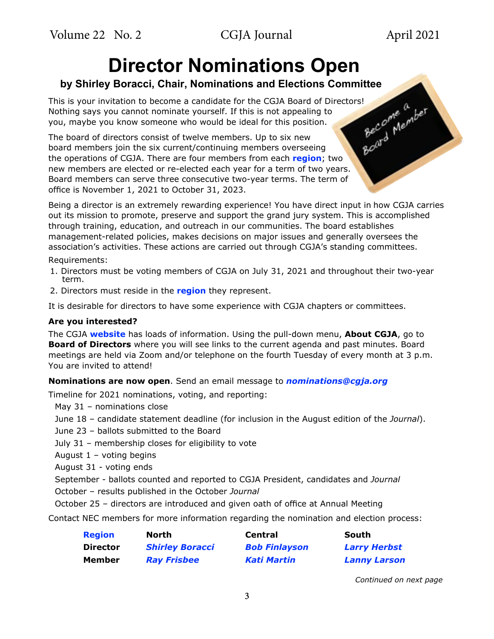<span id="page-2-0"></span>Volume 22 No. 2 CGJA Journal April 2021

# **Director Nominations Open**

### **by Shirley Boracci, Chair, Nominations and Elections Committee**

This is your invitation to become a candidate for the CGJA Board of Directors!<br>Nothing says you cannot nominate yourself. If this is not appealing to<br>you, maybe you know someone who would be ideal for this position.<br>The bo Nothing says you cannot nominate yourself. If this is not appealing to you, maybe you know someone who would be ideal for this position.

The board of directors consist of twelve members. Up to six new board members join the six current/continuing members overseeing the operations of CGJA. There are four members from each **[region](https://cgja.org/regions-map)**; two new members are elected or re-elected each year for a term of two years. Board members can serve three consecutive two-year terms. The term of office is November 1, 2021 to October 31, 2023.

Being a director is an extremely rewarding experience! You have direct input in how CGJA carries out its mission to promote, preserve and support the grand jury system. This is accomplished through training, education, and outreach in our communities. The board establishes management-related policies, makes decisions on major issues and generally oversees the association's activities. These actions are carried out through CGJA's standing committees.

Requirements:

- 1. Directors must be voting members of CGJA on July 31, 2021 and throughout their two-year term.
- 2. Directors must reside in the **[region](https://cgja.org/regions-map)** they represent.

It is desirable for directors to have some experience with CGJA chapters or committees.

### **Are you interested?**

The CGJA **[website](https://cgja.org/)** has loads of information. Using the pull-down menu, **About CGJA**, go to **Board of Directors** where you will see links to the current agenda and past minutes. Board meetings are held via Zoom and/or telephone on the fourth Tuesday of every month at 3 p.m. You are invited to attend!

### **Nominations are now open**. Send an email message to *[nominations@cgja.org](mailto:nominations%40cgja.org?subject=CGJA%20nomination)*

Timeline for 2021 nominations, voting, and reporting:

May 31 – nominations close

June 18 – candidate statement deadline (for inclusion in the August edition of the *Journal*).

- June 23 ballots submitted to the Board
- July 31 membership closes for eligibility to vote
- August  $1 -$  voting begins
- August 31 voting ends

September - ballots counted and reported to CGJA President, candidates and *Journal*

- October results published in the October *Journal*
- October 25 directors are introduced and given oath of office at Annual Meeting

Contact NEC members for more information regarding the nomination and election process:

| <b>Region</b>   | North.                 | <b>Central</b>       | South               |
|-----------------|------------------------|----------------------|---------------------|
| <b>Director</b> | <b>Shirley Boracci</b> | <b>Bob Finlayson</b> | <b>Larry Herbst</b> |
| Member          | <b>Ray Frisbee</b>     | Kati Martin          | <b>Lanny Larson</b> |

*Continued on next page*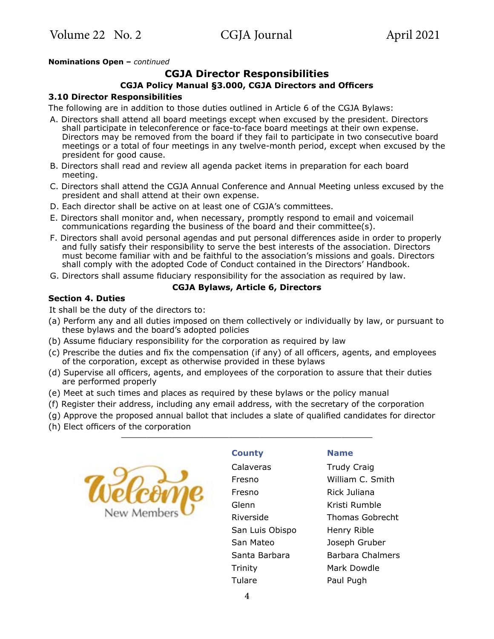### <span id="page-3-0"></span>**Nominations Open –** *continued*

### **CGJA Director Responsibilities**

### **CGJA Policy Manual §3.000, CGJA Directors and Officers**

### **3.10 Director Responsibilities**

The following are in addition to those duties outlined in Article 6 of the CGJA Bylaws:

- A. Directors shall attend all board meetings except when excused by the president. Directors shall participate in teleconference or face-to-face board meetings at their own expense. Directors may be removed from the board if they fail to participate in two consecutive board meetings or a total of four meetings in any twelve-month period, except when excused by the president for good cause.
- B. Directors shall read and review all agenda packet items in preparation for each board meeting.
- C. Directors shall attend the CGJA Annual Conference and Annual Meeting unless excused by the president and shall attend at their own expense.
- D. Each director shall be active on at least one of CGJA's committees.
- E. Directors shall monitor and, when necessary, promptly respond to email and voicemail communications regarding the business of the board and their committee(s).
- F. Directors shall avoid personal agendas and put personal differences aside in order to properly and fully satisfy their responsibility to serve the best interests of the association. Directors must become familiar with and be faithful to the association's missions and goals. Directors shall comply with the adopted Code of Conduct contained in the Directors' Handbook.
- G. Directors shall assume fiduciary responsibility for the association as required by law.

#### **CGJA Bylaws, Article 6, Directors**

#### **Section 4. Duties**

It shall be the duty of the directors to:

- (a) Perform any and all duties imposed on them collectively or individually by law, or pursuant to these bylaws and the board's adopted policies
- (b) Assume fiduciary responsibility for the corporation as required by law
- (c) Prescribe the duties and fix the compensation (if any) of all officers, agents, and employees of the corporation, except as otherwise provided in these bylaws
- (d) Supervise all officers, agents, and employees of the corporation to assure that their duties are performed properly
- (e) Meet at such times and places as required by these bylaws or the policy manual
- (f) Register their address, including any email address, with the secretary of the corporation
- (g) Approve the proposed annual ballot that includes a slate of qualified candidates for director
- (h) Elect officers of the corporation



#### **County Name**

Calaveras Trudy Craig Fresno William C. Smith Fresno Rick Juliana Glenn Kristi Rumble Riverside Thomas Gobrecht San Luis Obispo Henry Rible San Mateo Joseph Gruber Santa Barbara Barbara Chalmers Trinity Mark Dowdle Tulare Paul Pugh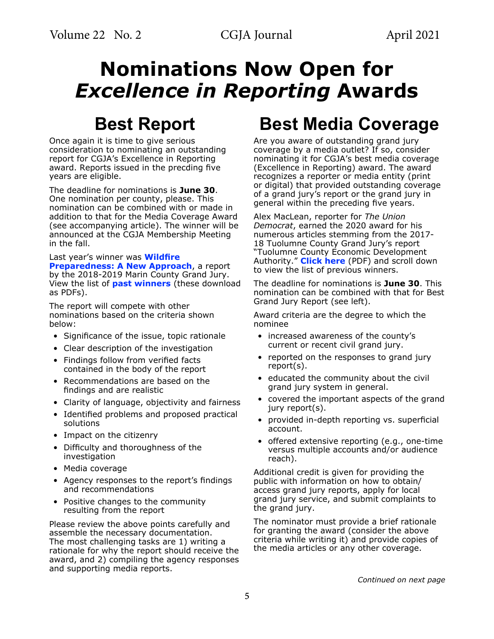# <span id="page-4-0"></span>**Nominations Now Open for**  *Excellence in Reporting* **Awards**

# **Best Report**

Once again it is time to give serious consideration to nominating an outstanding report for CGJA's Excellence in Reporting award. Reports issued in the precding five years are eligible.

The deadline for nominations is **June 30**. One nomination per county, please. This nomination can be combined with or made in addition to that for the Media Coverage Award (see accompanying article). The winner will be announced at the CGJA Membership Meeting in the fall.

Last year's winner was **[Wildfire](https://cgja.org/sites/default/files/wildfire_preparedness-a_new_approach.pdf)  [Preparedness: A New Approach](https://cgja.org/sites/default/files/wildfire_preparedness-a_new_approach.pdf)**, a report by the 2018-2019 Marin County Grand Jury. View the list of **[past winners](https://cgja.org/sites/default/files/2019_eir_past_awards.pdf])** (these download as PDFs).

The report will compete with other nominations based on the criteria shown below:

- Significance of the issue, topic rationale
- Clear description of the investigation
- Findings follow from verified facts contained in the body of the report
- Recommendations are based on the findings and are realistic
- Clarity of language, objectivity and fairness
- Identified problems and proposed practical solutions
- Impact on the citizenry
- Difficulty and thoroughness of the investigation
- Media coverage
- Agency responses to the report's findings and recommendations
- Positive changes to the community resulting from the report

Please review the above points carefully and assemble the necessary documentation. The most challenging tasks are 1) writing a rationale for why the report should receive the award, and 2) compiling the agency responses and supporting media reports.

# **Best Media Coverage**

Are you aware of outstanding grand jury coverage by a media outlet? If so, consider nominating it for CGJA's best media coverage (Excellence in Reporting) award. The award recognizes a reporter or media entity (print or digital) that provided outstanding coverage of a grand jury's report or the grand jury in general within the preceding five years.

Alex MacLean, reporter for *The Union Democrat*, earned the 2020 award for his numerous articles stemming from the 2017- 18 Tuolumne County Grand Jury's report "Tuolumne County Economic Development Authority." **[Click here](https://cgja.org/sites/default/files/2019_eir_past_awards.pdf)** (PDF) and scroll down to view the list of previous winners.

The deadline for nominations is **June 30**. This nomination can be combined with that for Best Grand Jury Report (see left).

Award criteria are the degree to which the nominee

- increased awareness of the county's current or recent civil grand jury.
- reported on the responses to grand jury report(s).
- educated the community about the civil grand jury system in general.
- covered the important aspects of the grand jury report(s).
- provided in-depth reporting vs. superficial account.
- offered extensive reporting (e.g., one-time versus multiple accounts and/or audience reach).

Additional credit is given for providing the public with information on how to obtain/ access grand jury reports, apply for local grand jury service, and submit complaints to the grand jury.

The nominator must provide a brief rationale for granting the award (consider the above criteria while writing it) and provide copies of the media articles or any other coverage.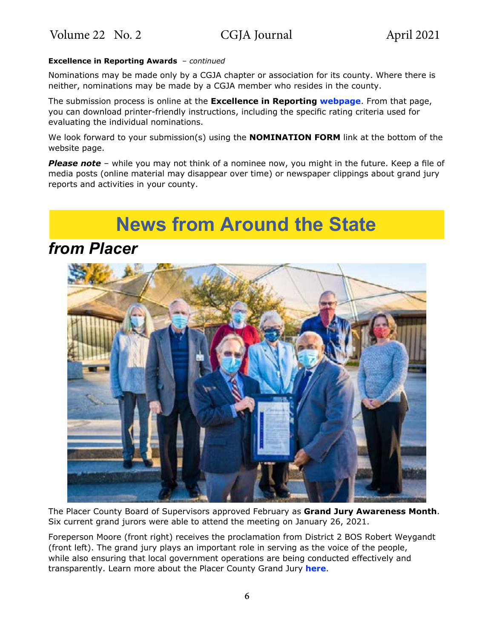### <span id="page-5-0"></span>**Excellence in Reporting Awards** – *continued*

Nominations may be made only by a CGJA chapter or association for its county. Where there is neither, nominations may be made by a CGJA member who resides in the county.

The submission process is online at the **Excellence in Reporting [webpage](https://cgja.org/excellence-reporting-award)**. From that page, you can download printer-friendly instructions, including the specific rating criteria used for evaluating the individual nominations.

We look forward to your submission(s) using the **NOMINATION FORM** link at the bottom of the website page.

*Please note* – while you may not think of a nominee now, you might in the future. Keep a file of media posts (online material may disappear over time) or newspaper clippings about grand jury reports and activities in your county.

# **News from Around the State**

### *from Placer*



The Placer County Board of Supervisors approved February as **Grand Jury Awareness Month**. Six current grand jurors were able to attend the meeting on January 26, 2021.

Foreperson Moore (front right) receives the proclamation from District 2 BOS Robert Weygandt (front left). The grand jury plays an important role in serving as the voice of the people, while also ensuring that local government operations are being conducted effectively and transparently. Learn more about the Placer County Grand Jury **[here](http://www.placer.courts.ca.gov/general-grandjury-info.shtml)**.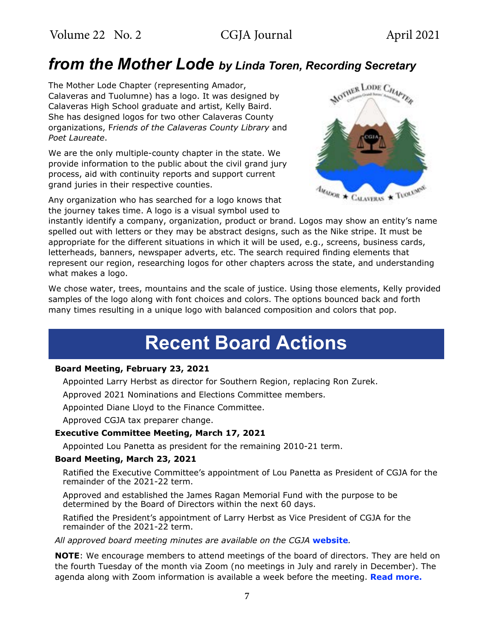## *from the Mother Lode by Linda Toren, Recording Secretary*

The Mother Lode Chapter (representing Amador, Calaveras and Tuolumne) has a logo. It was designed by Calaveras High School graduate and artist, Kelly Baird. She has designed logos for two other Calaveras County organizations, F*riends of the Calaveras County Library* and *Poet Laureate*.

We are the only multiple-county chapter in the state. We provide information to the public about the civil grand jury process, aid with continuity reports and support current grand juries in their respective counties.

Any organization who has searched for a logo knows that the journey takes time. A logo is a visual symbol used to



instantly identify a company, organization, product or brand. Logos may show an entity's name spelled out with letters or they may be abstract designs, such as the Nike stripe. It must be appropriate for the different situations in which it will be used, e.g., screens, business cards, letterheads, banners, newspaper adverts, etc. The search required finding elements that represent our region, researching logos for other chapters across the state, and understanding what makes a logo.

We chose water, trees, mountains and the scale of justice. Using those elements, Kelly provided samples of the logo along with font choices and colors. The options bounced back and forth many times resulting in a unique logo with balanced composition and colors that pop.

# **Recent Board Actions**

### **Board Meeting, February 23, 2021**

Appointed Larry Herbst as director for Southern Region, replacing Ron Zurek.

Approved 2021 Nominations and Elections Committee members.

Appointed Diane Lloyd to the Finance Committee.

Approved CGJA tax preparer change.

### **Executive Committee Meeting, March 17, 2021**

Appointed Lou Panetta as president for the remaining 2010-21 term.

### **Board Meeting, March 23, 2021**

Ratified the Executive Committee's appointment of Lou Panetta as President of CGJA for the remainder of the 2021-22 term.

Approved and established the James Ragan Memorial Fund with the purpose to be determined by the Board of Directors within the next 60 days.

Ratified the President's appointment of Larry Herbst as Vice President of CGJA for the remainder of the 2021-22 term.

*All approved board meeting minutes are available on the CGJA* **[website](https://cgja.org/board-minutes)***.*

**NOTE**: We encourage members to attend meetings of the board of directors. They are held on the fourth Tuesday of the month via Zoom (no meetings in July and rarely in December). The agenda along with Zoom information is available a week before the meeting. **[Read more.](https://cgja.org/current-agenda)**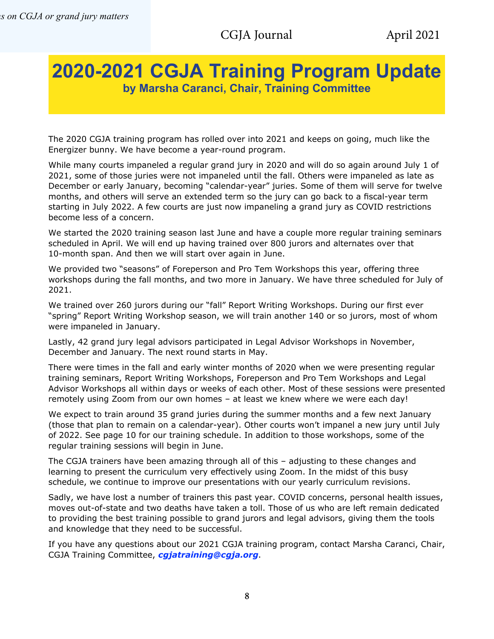### <span id="page-7-0"></span>**2020-2021 CGJA Training Program Update by Marsha Caranci, Chair, Training Committee**

The 2020 CGJA training program has rolled over into 2021 and keeps on going, much like the Energizer bunny. We have become a year-round program.

While many courts impaneled a regular grand jury in 2020 and will do so again around July 1 of 2021, some of those juries were not impaneled until the fall. Others were impaneled as late as December or early January, becoming "calendar-year" juries. Some of them will serve for twelve months, and others will serve an extended term so the jury can go back to a fiscal-year term starting in July 2022. A few courts are just now impaneling a grand jury as COVID restrictions become less of a concern.

We started the 2020 training season last June and have a couple more regular training seminars scheduled in April. We will end up having trained over 800 jurors and alternates over that 10-month span. And then we will start over again in June.

We provided two "seasons" of Foreperson and Pro Tem Workshops this year, offering three workshops during the fall months, and two more in January. We have three scheduled for July of 2021.

We trained over 260 jurors during our "fall" Report Writing Workshops. During our first ever "spring" Report Writing Workshop season, we will train another 140 or so jurors, most of whom were impaneled in January.

Lastly, 42 grand jury legal advisors participated in Legal Advisor Workshops in November, December and January. The next round starts in May.

There were times in the fall and early winter months of 2020 when we were presenting regular training seminars, Report Writing Workshops, Foreperson and Pro Tem Workshops and Legal Advisor Workshops all within days or weeks of each other. Most of these sessions were presented remotely using Zoom from our own homes – at least we knew where we were each day!

We expect to train around 35 grand juries during the summer months and a few next January (those that plan to remain on a calendar-year). Other courts won't impanel a new jury until July of 2022. See page 10 for our training schedule. In addition to those workshops, some of the regular training sessions will begin in June.

The CGJA trainers have been amazing through all of this – adjusting to these changes and learning to present the curriculum very effectively using Zoom. In the midst of this busy schedule, we continue to improve our presentations with our yearly curriculum revisions.

Sadly, we have lost a number of trainers this past year. COVID concerns, personal health issues, moves out-of-state and two deaths have taken a toll. Those of us who are left remain dedicated to providing the best training possible to grand jurors and legal advisors, giving them the tools and knowledge that they need to be successful.

If you have any questions about our 2021 CGJA training program, contact Marsha Caranci, Chair, CGJA Training Committee, *[cgjatraining@cgja.org](mailto:cgjatraining%40cgja.org?subject=CGJA%20training)*.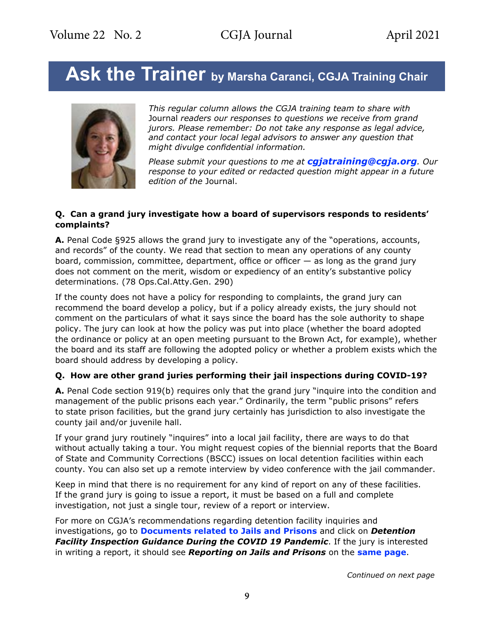## <span id="page-8-0"></span>Ask the Trainer by Marsha Caranci, CGJA Training Chair



*This regular column allows the CGJA training team to share with*  Journal *readers our responses to questions we receive from grand jurors. Please remember: Do not take any response as legal advice, and contact your local legal advisors to answer any question that might divulge confidential information.* 

*Please submit your questions to me at [cgjatraining@cgja.org](mailto:cgjatraining%40cgja.org?subject=CGJA%20Training). Our response to your edited or redacted question might appear in a future edition of the* Journal.

### **Q. Can a grand jury investigate how a board of supervisors responds to residents' complaints?**

**A.** Penal Code §925 allows the grand jury to investigate any of the "operations, accounts, and records" of the county. We read that section to mean any operations of any county board, commission, committee, department, office or officer — as long as the grand jury does not comment on the merit, wisdom or expediency of an entity's substantive policy determinations. (78 Ops.Cal.Atty.Gen. 290)

If the county does not have a policy for responding to complaints, the grand jury can recommend the board develop a policy, but if a policy already exists, the jury should not comment on the particulars of what it says since the board has the sole authority to shape policy. The jury can look at how the policy was put into place (whether the board adopted the ordinance or policy at an open meeting pursuant to the Brown Act, for example), whether the board and its staff are following the adopted policy or whether a problem exists which the board should address by developing a policy.

### **Q. How are other grand juries performing their jail inspections during COVID-19?**

**A.** Penal Code section 919(b) requires only that the grand jury "inquire into the condition and management of the public prisons each year." Ordinarily, the term "public prisons" refers to state prison facilities, but the grand jury certainly has jurisdiction to also investigate the county jail and/or juvenile hall.

If your grand jury routinely "inquires" into a local jail facility, there are ways to do that without actually taking a tour. You might request copies of the biennial reports that the Board of State and Community Corrections (BSCC) issues on local detention facilities within each county. You can also set up a remote interview by video conference with the jail commander.

Keep in mind that there is no requirement for any kind of report on any of these facilities. If the grand jury is going to issue a report, it must be based on a full and complete investigation, not just a single tour, review of a report or interview.

For more on CGJA's recommendations regarding detention facility inquiries and investigations, go to **[Documents related to Jails and Prisons](https://cgja.org/sample-documents#JailsPrisons)** and click on *Detention Facility Inspection Guidance During the COVID 19 Pandemic*. If the jury is interested in writing a report, it should see *Reporting on Jails and Prisons* on the **[same page](https://cgja.org/sample-documents#JailsPrisons)**.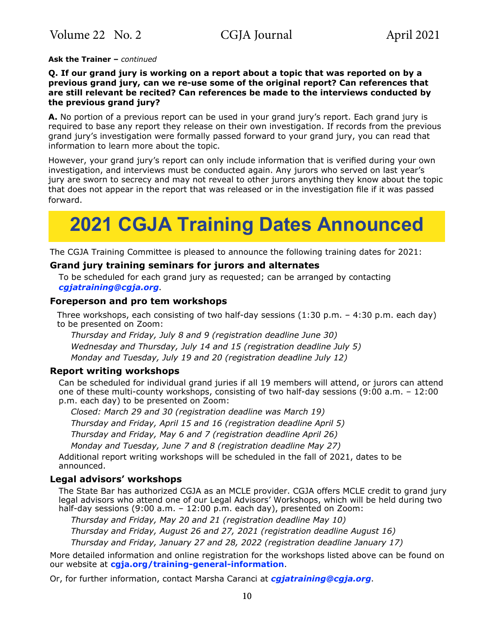### <span id="page-9-0"></span>**Ask the Trainer –** *continued*

### **Q. If our grand jury is working on a report about a topic that was reported on by a previous grand jury, can we re-use some of the original report? Can references that are still relevant be recited? Can references be made to the interviews conducted by the previous grand jury?**

**A.** No portion of a previous report can be used in your grand jury's report. Each grand jury is required to base any report they release on their own investigation. If records from the previous grand jury's investigation were formally passed forward to your grand jury, you can read that information to learn more about the topic.

However, your grand jury's report can only include information that is verified during your own investigation, and interviews must be conducted again. Any jurors who served on last year's jury are sworn to secrecy and may not reveal to other jurors anything they know about the topic that does not appear in the report that was released or in the investigation file if it was passed forward.

# **2021 CGJA Training Dates Announced**

The CGJA Training Committee is pleased to announce the following training dates for 2021:

### **Grand jury training seminars for jurors and alternates**

To be scheduled for each grand jury as requested; can be arranged by contacting *[cgjatraining@cgja.org](mailto:cgjatraining%40cgja.org?subject=CGJA%20training)*.

### **Foreperson and pro tem workshops**

Three workshops, each consisting of two half-day sessions (1:30 p.m. – 4:30 p.m. each day) to be presented on Zoom:

*Thursday and Friday, July 8 and 9 (registration deadline June 30) Wednesday and Thursday, July 14 and 15 (registration deadline July 5) Monday and Tuesday, July 19 and 20 (registration deadline July 12)*

### **Report writing workshops**

Can be scheduled for individual grand juries if all 19 members will attend, or jurors can attend one of these multi-county workshops, consisting of two half-day sessions (9:00 a.m. – 12:00 p.m. each day) to be presented on Zoom:

*Closed: March 29 and 30 (registration deadline was March 19) Thursday and Friday, April 15 and 16 (registration deadline April 5) Thursday and Friday, May 6 and 7 (registration deadline April 26)*

*Monday and Tuesday, June 7 and 8 (registration deadline May 27)*

Additional report writing workshops will be scheduled in the fall of 2021, dates to be announced.

### **Legal advisors' workshops**

The State Bar has authorized CGJA as an MCLE provider. CGJA offers MCLE credit to grand jury legal advisors who attend one of our Legal Advisors' Workshops, which will be held during two half-day sessions (9:00 a.m. - 12:00 p.m. each day), presented on Zoom:

*Thursday and Friday, May 20 and 21 (registration deadline May 10) Thursday and Friday, August 26 and 27, 2021 (registration deadline August 16) Thursday and Friday, January 27 and 28, 2022 (registration deadline January 17)*

More detailed information and online registration for the workshops listed above can be found on our website at **[cgja.org/training-general-information](https://cgja.org/training-general-information)**.

Or, for further information, contact Marsha Caranci at *[cgjatraining@cgja.org](mailto:cgjatraining%40cgja.org?subject=CGJA%20training)*.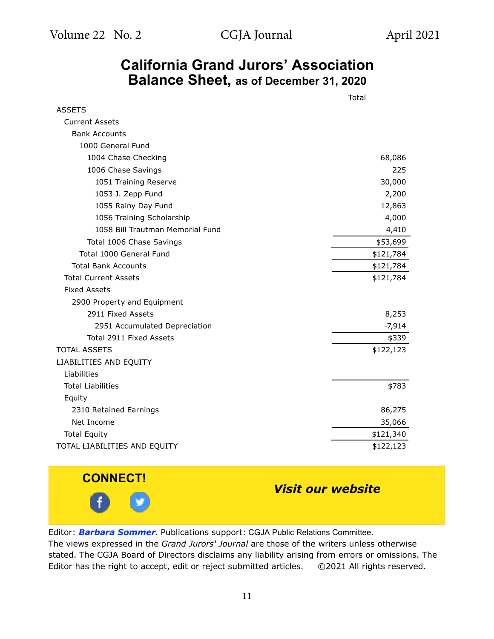### **California Grand Jurors' Association Balance Sheet, as of December 31, 2020**

<span id="page-10-0"></span>

|                                  | Total     |  |
|----------------------------------|-----------|--|
| <b>ASSETS</b>                    |           |  |
| <b>Current Assets</b>            |           |  |
| <b>Bank Accounts</b>             |           |  |
| 1000 General Fund                |           |  |
| 1004 Chase Checking              | 68,086    |  |
| 1006 Chase Savings               | 225       |  |
| 1051 Training Reserve            | 30,000    |  |
| 1053 J. Zepp Fund                | 2,200     |  |
| 1055 Rainy Day Fund              | 12,863    |  |
| 1056 Training Scholarship        | 4,000     |  |
| 1058 Bill Trautman Memorial Fund | 4,410     |  |
| Total 1006 Chase Savings         | \$53,699  |  |
| Total 1000 General Fund          | \$121,784 |  |
| <b>Total Bank Accounts</b>       | \$121,784 |  |
| <b>Total Current Assets</b>      | \$121,784 |  |
| <b>Fixed Assets</b>              |           |  |
| 2900 Property and Equipment      |           |  |
| 2911 Fixed Assets                | 8,253     |  |
| 2951 Accumulated Depreciation    | $-7,914$  |  |
| Total 2911 Fixed Assets          | \$339     |  |
| <b>TOTAL ASSETS</b>              | \$122,123 |  |
| LIABILITIES AND EQUITY           |           |  |
| Liabilities                      |           |  |
| <b>Total Liabilities</b>         | \$783     |  |
| Equity                           |           |  |
| 2310 Retained Earnings           | 86,275    |  |
| Net Income                       | 35,066    |  |
| <b>Total Equity</b>              | \$121,340 |  |
| TOTAL LIABILITIES AND EQUITY     | \$122,123 |  |



### *[Visit our website](https://cgja.org/)*

Editor: *[Barbara Sommer](mailto:Barbara%20Sommer?subject=CGJA%20Grand%20Jurors%27%20Journal)*. Publications support: CGJA Public Relations Committee.

The views expressed in the *Grand Jurors' Journal* are those of the writers unless otherwise stated. The CGJA Board of Directors disclaims any liability arising from errors or omissions. The Editor has the right to accept, edit or reject submitted articles. ©2021 All rights reserved.